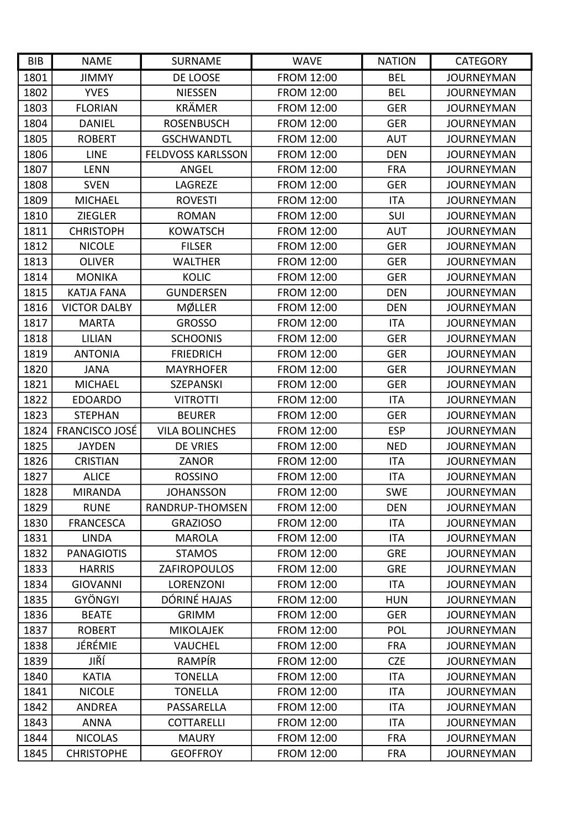| <b>BIB</b> | <b>NAME</b>           | SURNAME                  | <b>WAVE</b>       | <b>NATION</b> | <b>CATEGORY</b>   |
|------------|-----------------------|--------------------------|-------------------|---------------|-------------------|
| 1801       | <b>JIMMY</b>          | DE LOOSE                 | <b>FROM 12:00</b> | <b>BEL</b>    | <b>JOURNEYMAN</b> |
| 1802       | <b>YVES</b>           | <b>NIESSEN</b>           | <b>FROM 12:00</b> | <b>BEL</b>    | <b>JOURNEYMAN</b> |
| 1803       | <b>FLORIAN</b>        | <b>KRÄMER</b>            | <b>FROM 12:00</b> | <b>GER</b>    | <b>JOURNEYMAN</b> |
| 1804       | <b>DANIEL</b>         | <b>ROSENBUSCH</b>        | <b>FROM 12:00</b> | <b>GER</b>    | <b>JOURNEYMAN</b> |
| 1805       | <b>ROBERT</b>         | <b>GSCHWANDTL</b>        | <b>FROM 12:00</b> | <b>AUT</b>    | <b>JOURNEYMAN</b> |
| 1806       | <b>LINE</b>           | <b>FELDVOSS KARLSSON</b> | <b>FROM 12:00</b> | <b>DEN</b>    | <b>JOURNEYMAN</b> |
| 1807       | <b>LENN</b>           | ANGEL                    | <b>FROM 12:00</b> | <b>FRA</b>    | <b>JOURNEYMAN</b> |
| 1808       | <b>SVEN</b>           | LAGREZE                  | <b>FROM 12:00</b> | <b>GER</b>    | <b>JOURNEYMAN</b> |
| 1809       | <b>MICHAEL</b>        | <b>ROVESTI</b>           | <b>FROM 12:00</b> | <b>ITA</b>    | <b>JOURNEYMAN</b> |
| 1810       | <b>ZIEGLER</b>        | <b>ROMAN</b>             | <b>FROM 12:00</b> | SUI           | <b>JOURNEYMAN</b> |
| 1811       | <b>CHRISTOPH</b>      | <b>KOWATSCH</b>          | <b>FROM 12:00</b> | <b>AUT</b>    | <b>JOURNEYMAN</b> |
| 1812       | <b>NICOLE</b>         | <b>FILSER</b>            | <b>FROM 12:00</b> | <b>GER</b>    | <b>JOURNEYMAN</b> |
| 1813       | <b>OLIVER</b>         | <b>WALTHER</b>           | <b>FROM 12:00</b> | <b>GER</b>    | <b>JOURNEYMAN</b> |
| 1814       | <b>MONIKA</b>         | <b>KOLIC</b>             | <b>FROM 12:00</b> | <b>GER</b>    | <b>JOURNEYMAN</b> |
| 1815       | <b>KATJA FANA</b>     | <b>GUNDERSEN</b>         | <b>FROM 12:00</b> | <b>DEN</b>    | <b>JOURNEYMAN</b> |
| 1816       | <b>VICTOR DALBY</b>   | MØLLER                   | <b>FROM 12:00</b> | <b>DEN</b>    | <b>JOURNEYMAN</b> |
| 1817       | <b>MARTA</b>          | <b>GROSSO</b>            | <b>FROM 12:00</b> | <b>ITA</b>    | <b>JOURNEYMAN</b> |
| 1818       | LILIAN                | <b>SCHOONIS</b>          | <b>FROM 12:00</b> | <b>GER</b>    | <b>JOURNEYMAN</b> |
| 1819       | <b>ANTONIA</b>        | <b>FRIEDRICH</b>         | <b>FROM 12:00</b> | <b>GER</b>    | <b>JOURNEYMAN</b> |
| 1820       | <b>JANA</b>           | <b>MAYRHOFER</b>         | <b>FROM 12:00</b> | <b>GER</b>    | <b>JOURNEYMAN</b> |
| 1821       | <b>MICHAEL</b>        | <b>SZEPANSKI</b>         | <b>FROM 12:00</b> | <b>GER</b>    | <b>JOURNEYMAN</b> |
| 1822       | <b>EDOARDO</b>        | <b>VITROTTI</b>          | <b>FROM 12:00</b> | <b>ITA</b>    | <b>JOURNEYMAN</b> |
| 1823       | <b>STEPHAN</b>        | <b>BEURER</b>            | <b>FROM 12:00</b> | <b>GER</b>    | <b>JOURNEYMAN</b> |
| 1824       | <b>FRANCISCO JOSÉ</b> | <b>VILA BOLINCHES</b>    | <b>FROM 12:00</b> | <b>ESP</b>    | <b>JOURNEYMAN</b> |
| 1825       | <b>JAYDEN</b>         | <b>DE VRIES</b>          | <b>FROM 12:00</b> | <b>NED</b>    | <b>JOURNEYMAN</b> |
| 1826       | <b>CRISTIAN</b>       | <b>ZANOR</b>             | <b>FROM 12:00</b> | <b>ITA</b>    | <b>JOURNEYMAN</b> |
| 1827       | <b>ALICE</b>          | <b>ROSSINO</b>           | <b>FROM 12:00</b> | <b>ITA</b>    | <b>JOURNEYMAN</b> |
| 1828       | <b>MIRANDA</b>        | <b>JOHANSSON</b>         | <b>FROM 12:00</b> | <b>SWE</b>    | JOURNEYMAN        |
| 1829       | <b>RUNE</b>           | RANDRUP-THOMSEN          | <b>FROM 12:00</b> | <b>DEN</b>    | <b>JOURNEYMAN</b> |
| 1830       | <b>FRANCESCA</b>      | <b>GRAZIOSO</b>          | <b>FROM 12:00</b> | <b>ITA</b>    | <b>JOURNEYMAN</b> |
| 1831       | <b>LINDA</b>          | <b>MAROLA</b>            | <b>FROM 12:00</b> | <b>ITA</b>    | <b>JOURNEYMAN</b> |
| 1832       | <b>PANAGIOTIS</b>     | <b>STAMOS</b>            | <b>FROM 12:00</b> | <b>GRE</b>    | <b>JOURNEYMAN</b> |
| 1833       | <b>HARRIS</b>         | <b>ZAFIROPOULOS</b>      | <b>FROM 12:00</b> | <b>GRE</b>    | <b>JOURNEYMAN</b> |
| 1834       | <b>GIOVANNI</b>       | LORENZONI                | <b>FROM 12:00</b> | <b>ITA</b>    | <b>JOURNEYMAN</b> |
| 1835       | <b>GYÖNGYI</b>        | DÓRINÉ HAJAS             | <b>FROM 12:00</b> | <b>HUN</b>    | <b>JOURNEYMAN</b> |
| 1836       | <b>BEATE</b>          | <b>GRIMM</b>             | <b>FROM 12:00</b> | <b>GER</b>    | <b>JOURNEYMAN</b> |
| 1837       | <b>ROBERT</b>         | <b>MIKOLAJEK</b>         | <b>FROM 12:00</b> | POL           | <b>JOURNEYMAN</b> |
| 1838       | JÉRÉMIE               | <b>VAUCHEL</b>           | <b>FROM 12:00</b> | <b>FRA</b>    | <b>JOURNEYMAN</b> |
| 1839       | JIŘÍ                  | RAMPÍR                   | <b>FROM 12:00</b> | <b>CZE</b>    | <b>JOURNEYMAN</b> |
| 1840       | <b>KATIA</b>          | <b>TONELLA</b>           | <b>FROM 12:00</b> | <b>ITA</b>    | <b>JOURNEYMAN</b> |
| 1841       | <b>NICOLE</b>         | <b>TONELLA</b>           | <b>FROM 12:00</b> | <b>ITA</b>    | <b>JOURNEYMAN</b> |
| 1842       | <b>ANDREA</b>         | PASSARELLA               | <b>FROM 12:00</b> | <b>ITA</b>    | <b>JOURNEYMAN</b> |
| 1843       | <b>ANNA</b>           | <b>COTTARELLI</b>        | <b>FROM 12:00</b> | <b>ITA</b>    | <b>JOURNEYMAN</b> |
| 1844       | <b>NICOLAS</b>        | <b>MAURY</b>             | <b>FROM 12:00</b> | <b>FRA</b>    | <b>JOURNEYMAN</b> |
| 1845       | <b>CHRISTOPHE</b>     | <b>GEOFFROY</b>          | <b>FROM 12:00</b> | <b>FRA</b>    | <b>JOURNEYMAN</b> |